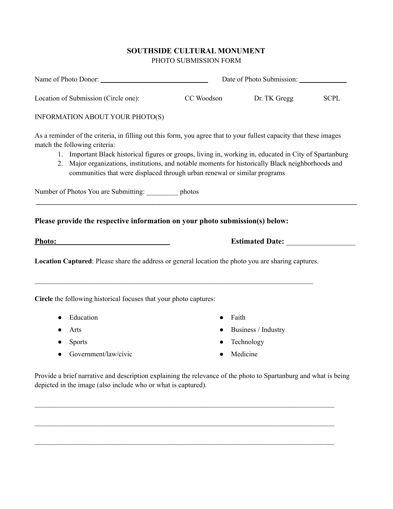# **SOUTHSIDE CULTURAL MONUMENT** PHOTO SUBMISSION FORM

| Name of Photo Donor:                                                                                                                                                                                                                                                                                                                                                                                                                              | Date of Photo Submission: |                        |             |
|---------------------------------------------------------------------------------------------------------------------------------------------------------------------------------------------------------------------------------------------------------------------------------------------------------------------------------------------------------------------------------------------------------------------------------------------------|---------------------------|------------------------|-------------|
| Location of Submission (Circle one):                                                                                                                                                                                                                                                                                                                                                                                                              | CC Woodson                | Dr. TK Gregg           | <b>SCPL</b> |
| INFORMATION ABOUT YOUR PHOTO(S)                                                                                                                                                                                                                                                                                                                                                                                                                   |                           |                        |             |
| As a reminder of the criteria, in filling out this form, you agree that to your fullest capacity that these images<br>match the following criteria:<br>1. Important Black historical figures or groups, living in, working in, educated in City of Spartanburg<br>2. Major organizations, institutions, and notable moments for historically Black neighborhoods and<br>communities that were displaced through urban renewal or similar programs |                           |                        |             |
| Number of Photos You are Submitting: photos                                                                                                                                                                                                                                                                                                                                                                                                       |                           |                        |             |
| Please provide the respective information on your photo submission(s) below:                                                                                                                                                                                                                                                                                                                                                                      |                           |                        |             |
| Photo:                                                                                                                                                                                                                                                                                                                                                                                                                                            |                           | <b>Estimated Date:</b> |             |
| <b>Location Captured:</b> Please share the address or general location the photo you are sharing captures.                                                                                                                                                                                                                                                                                                                                        |                           |                        |             |
| Circle the following historical focuses that your photo captures:                                                                                                                                                                                                                                                                                                                                                                                 |                           |                        |             |
| Education<br>$\bullet$                                                                                                                                                                                                                                                                                                                                                                                                                            | $\bullet$                 | Faith                  |             |
| Arts                                                                                                                                                                                                                                                                                                                                                                                                                                              |                           | Business / Industry    |             |
| <b>Sports</b>                                                                                                                                                                                                                                                                                                                                                                                                                                     |                           | Technology             |             |
| Government/law/civic                                                                                                                                                                                                                                                                                                                                                                                                                              |                           | Medicine               |             |
| Provide a brief narrative and description explaining the relevance of the photo to Spartanburg and what is being<br>depicted in the image (also include who or what is captured).                                                                                                                                                                                                                                                                 |                           |                        |             |

 $\mathcal{L}_\text{max} = \mathcal{L}_\text{max} = \mathcal{L}_\text{max} = \mathcal{L}_\text{max} = \mathcal{L}_\text{max} = \mathcal{L}_\text{max} = \mathcal{L}_\text{max} = \mathcal{L}_\text{max} = \mathcal{L}_\text{max} = \mathcal{L}_\text{max} = \mathcal{L}_\text{max} = \mathcal{L}_\text{max} = \mathcal{L}_\text{max} = \mathcal{L}_\text{max} = \mathcal{L}_\text{max} = \mathcal{L}_\text{max} = \mathcal{L}_\text{max} = \mathcal{L}_\text{max} = \mathcal{$ 

 $\mathcal{L}_\text{max} = \mathcal{L}_\text{max} = \mathcal{L}_\text{max} = \mathcal{L}_\text{max} = \mathcal{L}_\text{max} = \mathcal{L}_\text{max} = \mathcal{L}_\text{max} = \mathcal{L}_\text{max} = \mathcal{L}_\text{max} = \mathcal{L}_\text{max} = \mathcal{L}_\text{max} = \mathcal{L}_\text{max} = \mathcal{L}_\text{max} = \mathcal{L}_\text{max} = \mathcal{L}_\text{max} = \mathcal{L}_\text{max} = \mathcal{L}_\text{max} = \mathcal{L}_\text{max} = \mathcal{$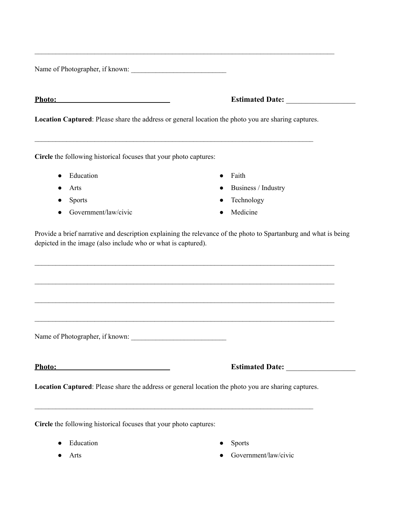Name of Photographer, if known: \_\_\_\_\_\_\_\_\_\_\_\_\_\_\_\_\_\_\_\_\_\_\_\_\_\_\_

| nono |  |
|------|--|
|      |  |

## **Photo: Estimated Date:**  $\blacksquare$

**Location Captured**: Please share the address or general location the photo you are sharing captures.

 $\mathcal{L}_\mathcal{L} = \{ \mathcal{L}_\mathcal{L} = \{ \mathcal{L}_\mathcal{L} = \{ \mathcal{L}_\mathcal{L} = \{ \mathcal{L}_\mathcal{L} = \{ \mathcal{L}_\mathcal{L} = \{ \mathcal{L}_\mathcal{L} = \{ \mathcal{L}_\mathcal{L} = \{ \mathcal{L}_\mathcal{L} = \{ \mathcal{L}_\mathcal{L} = \{ \mathcal{L}_\mathcal{L} = \{ \mathcal{L}_\mathcal{L} = \{ \mathcal{L}_\mathcal{L} = \{ \mathcal{L}_\mathcal{L} = \{ \mathcal{L}_\mathcal{$ 

 $\_$ 

**Circle** the following historical focuses that your photo captures:

- Education
- Arts
- Sports
- Government/law/civic
- Faith
- Business / Industry
- Technology
- Medicine

Provide a brief narrative and description explaining the relevance of the photo to Spartanburg and what is being depicted in the image (also include who or what is captured).

 $\mathcal{L}_\text{max} = \mathcal{L}_\text{max} = \mathcal{L}_\text{max} = \mathcal{L}_\text{max} = \mathcal{L}_\text{max} = \mathcal{L}_\text{max} = \mathcal{L}_\text{max} = \mathcal{L}_\text{max} = \mathcal{L}_\text{max} = \mathcal{L}_\text{max} = \mathcal{L}_\text{max} = \mathcal{L}_\text{max} = \mathcal{L}_\text{max} = \mathcal{L}_\text{max} = \mathcal{L}_\text{max} = \mathcal{L}_\text{max} = \mathcal{L}_\text{max} = \mathcal{L}_\text{max} = \mathcal{$ 

 $\mathcal{L}_\text{max} = \mathcal{L}_\text{max} = \mathcal{L}_\text{max} = \mathcal{L}_\text{max} = \mathcal{L}_\text{max} = \mathcal{L}_\text{max} = \mathcal{L}_\text{max} = \mathcal{L}_\text{max} = \mathcal{L}_\text{max} = \mathcal{L}_\text{max} = \mathcal{L}_\text{max} = \mathcal{L}_\text{max} = \mathcal{L}_\text{max} = \mathcal{L}_\text{max} = \mathcal{L}_\text{max} = \mathcal{L}_\text{max} = \mathcal{L}_\text{max} = \mathcal{L}_\text{max} = \mathcal{$ 

 $\mathcal{L}_\text{max} = \mathcal{L}_\text{max} = \mathcal{L}_\text{max} = \mathcal{L}_\text{max} = \mathcal{L}_\text{max} = \mathcal{L}_\text{max} = \mathcal{L}_\text{max} = \mathcal{L}_\text{max} = \mathcal{L}_\text{max} = \mathcal{L}_\text{max} = \mathcal{L}_\text{max} = \mathcal{L}_\text{max} = \mathcal{L}_\text{max} = \mathcal{L}_\text{max} = \mathcal{L}_\text{max} = \mathcal{L}_\text{max} = \mathcal{L}_\text{max} = \mathcal{L}_\text{max} = \mathcal{$ 

Name of Photographer, if known:

### **Photo: Estimated Date: Estimated Date:**

**Location Captured**: Please share the address or general location the photo you are sharing captures.

 $\mathcal{L}_\mathcal{L} = \{ \mathcal{L}_\mathcal{L} = \{ \mathcal{L}_\mathcal{L} = \{ \mathcal{L}_\mathcal{L} = \{ \mathcal{L}_\mathcal{L} = \{ \mathcal{L}_\mathcal{L} = \{ \mathcal{L}_\mathcal{L} = \{ \mathcal{L}_\mathcal{L} = \{ \mathcal{L}_\mathcal{L} = \{ \mathcal{L}_\mathcal{L} = \{ \mathcal{L}_\mathcal{L} = \{ \mathcal{L}_\mathcal{L} = \{ \mathcal{L}_\mathcal{L} = \{ \mathcal{L}_\mathcal{L} = \{ \mathcal{L}_\mathcal{$ 

**Circle** the following historical focuses that your photo captures:

• Education

**Sports** 

● Arts

- 
- Government/law/civic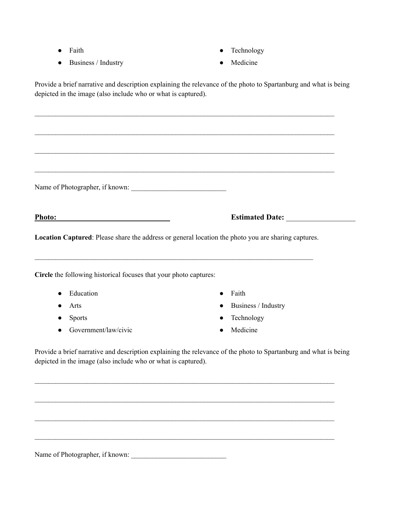- Faith
- Business / Industry
- Technology
- Medicine

Provide a brief narrative and description explaining the relevance of the photo to Spartanburg and what is being depicted in the image (also include who or what is captured).

 $\mathcal{L}_\text{max} = \mathcal{L}_\text{max} = \mathcal{L}_\text{max} = \mathcal{L}_\text{max} = \mathcal{L}_\text{max} = \mathcal{L}_\text{max} = \mathcal{L}_\text{max} = \mathcal{L}_\text{max} = \mathcal{L}_\text{max} = \mathcal{L}_\text{max} = \mathcal{L}_\text{max} = \mathcal{L}_\text{max} = \mathcal{L}_\text{max} = \mathcal{L}_\text{max} = \mathcal{L}_\text{max} = \mathcal{L}_\text{max} = \mathcal{L}_\text{max} = \mathcal{L}_\text{max} = \mathcal{$ 

| Photo:        | <u> 1989 - Johann Barbara, martin a</u>                           | <b>Estimated Date:</b>                                                                              |
|---------------|-------------------------------------------------------------------|-----------------------------------------------------------------------------------------------------|
|               |                                                                   | Location Captured: Please share the address or general location the photo you are sharing captures. |
|               |                                                                   |                                                                                                     |
|               |                                                                   |                                                                                                     |
|               | Circle the following historical focuses that your photo captures: |                                                                                                     |
| Education     |                                                                   | Faith                                                                                               |
| Arts          |                                                                   | Business / Industry<br>$\bullet$                                                                    |
| <b>Sports</b> |                                                                   | Technology<br>$\bullet$                                                                             |

 $\mathcal{L}_\text{max} = \mathcal{L}_\text{max} = \mathcal{L}_\text{max} = \mathcal{L}_\text{max} = \mathcal{L}_\text{max} = \mathcal{L}_\text{max} = \mathcal{L}_\text{max} = \mathcal{L}_\text{max} = \mathcal{L}_\text{max} = \mathcal{L}_\text{max} = \mathcal{L}_\text{max} = \mathcal{L}_\text{max} = \mathcal{L}_\text{max} = \mathcal{L}_\text{max} = \mathcal{L}_\text{max} = \mathcal{L}_\text{max} = \mathcal{L}_\text{max} = \mathcal{L}_\text{max} = \mathcal{$ 

 $\mathcal{L}_\text{max} = \mathcal{L}_\text{max} = \mathcal{L}_\text{max} = \mathcal{L}_\text{max} = \mathcal{L}_\text{max} = \mathcal{L}_\text{max} = \mathcal{L}_\text{max} = \mathcal{L}_\text{max} = \mathcal{L}_\text{max} = \mathcal{L}_\text{max} = \mathcal{L}_\text{max} = \mathcal{L}_\text{max} = \mathcal{L}_\text{max} = \mathcal{L}_\text{max} = \mathcal{L}_\text{max} = \mathcal{L}_\text{max} = \mathcal{L}_\text{max} = \mathcal{L}_\text{max} = \mathcal{$ 

 $\_$ 

Name of Photographer, if known: \_\_\_\_\_\_\_\_\_\_\_\_\_\_\_\_\_\_\_\_\_\_\_\_\_\_\_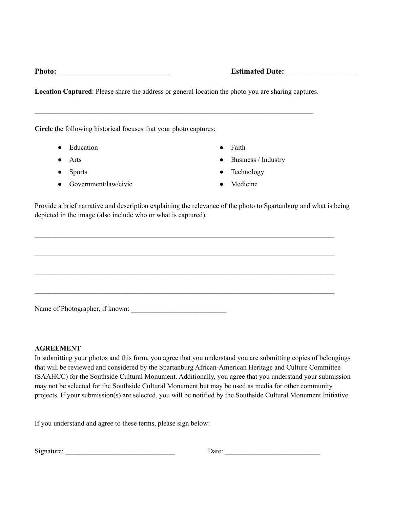## **Photo: Estimated Date: Example 2**

**Location Captured**: Please share the address or general location the photo you are sharing captures.

 $\mathcal{L}_\mathcal{L} = \{ \mathcal{L}_\mathcal{L} = \{ \mathcal{L}_\mathcal{L} = \{ \mathcal{L}_\mathcal{L} = \{ \mathcal{L}_\mathcal{L} = \{ \mathcal{L}_\mathcal{L} = \{ \mathcal{L}_\mathcal{L} = \{ \mathcal{L}_\mathcal{L} = \{ \mathcal{L}_\mathcal{L} = \{ \mathcal{L}_\mathcal{L} = \{ \mathcal{L}_\mathcal{L} = \{ \mathcal{L}_\mathcal{L} = \{ \mathcal{L}_\mathcal{L} = \{ \mathcal{L}_\mathcal{L} = \{ \mathcal{L}_\mathcal{$ 

**Circle** the following historical focuses that your photo captures:

- Education
- Arts
- Sports
- Government/law/civic
- Faith
- Business / Industry
- Technology
- Medicine

Provide a brief narrative and description explaining the relevance of the photo to Spartanburg and what is being depicted in the image (also include who or what is captured).

 $\mathcal{L}_\text{max} = \mathcal{L}_\text{max} = \mathcal{L}_\text{max} = \mathcal{L}_\text{max} = \mathcal{L}_\text{max} = \mathcal{L}_\text{max} = \mathcal{L}_\text{max} = \mathcal{L}_\text{max} = \mathcal{L}_\text{max} = \mathcal{L}_\text{max} = \mathcal{L}_\text{max} = \mathcal{L}_\text{max} = \mathcal{L}_\text{max} = \mathcal{L}_\text{max} = \mathcal{L}_\text{max} = \mathcal{L}_\text{max} = \mathcal{L}_\text{max} = \mathcal{L}_\text{max} = \mathcal{$ 

 $\_$ 

 $\mathcal{L}_\text{max} = \mathcal{L}_\text{max} = \mathcal{L}_\text{max} = \mathcal{L}_\text{max} = \mathcal{L}_\text{max} = \mathcal{L}_\text{max} = \mathcal{L}_\text{max} = \mathcal{L}_\text{max} = \mathcal{L}_\text{max} = \mathcal{L}_\text{max} = \mathcal{L}_\text{max} = \mathcal{L}_\text{max} = \mathcal{L}_\text{max} = \mathcal{L}_\text{max} = \mathcal{L}_\text{max} = \mathcal{L}_\text{max} = \mathcal{L}_\text{max} = \mathcal{L}_\text{max} = \mathcal{$ 

 $\_$ 

Name of Photographer, if known:

### **AGREEMENT**

In submitting your photos and this form, you agree that you understand you are submitting copies of belongings that will be reviewed and considered by the Spartanburg African-American Heritage and Culture Committee (SAAHCC) for the Southside Cultural Monument. Additionally, you agree that you understand your submission may not be selected for the Southside Cultural Monument but may be used as media for other community projects. If your submission(s) are selected, you will be notified by the Southside Cultural Monument Initiative.

If you understand and agree to these terms, please sign below:

| $\sim$<br>Signature: | Jate <sup>.</sup> |
|----------------------|-------------------|
|                      |                   |